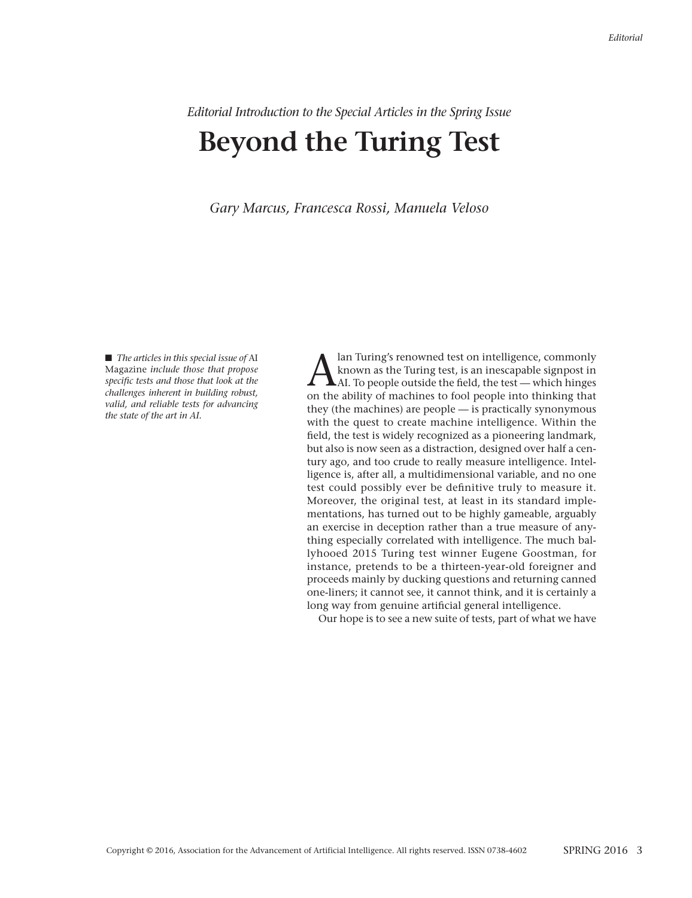## *Editorial Introduction to the Special Articles in the Spring Issue* **Beyond the Turing Test**

*Gary Marcus, Francesca Rossi, Manuela Veloso*

■ *The articles in this special issue of AI* Magazine *include those that propose specific tests and those that look at the challenges inherent in building robust, valid, and reliable tests for advancing the state of the art in AI.*

 $\sum_{\rm An~Turing's~renowned~test,~is~an~inescapable~signpost~in~AT.~To people outside the field, the test — which hinges on the ability of machines to feel people into thinking that$ known as the Turing test, is an inescapable signpost in AI. To people outside the field, the test — which hinges on the ability of machines to fool people into thinking that they (the machines) are people — is practically synonymous with the quest to create machine intelligence. Within the field, the test is widely recognized as a pioneering landmark, but also is now seen as a distraction, designed over half a century ago, and too crude to really measure intelligence. Intelligence is, after all, a multidimensional variable, and no one test could possibly ever be definitive truly to measure it. Moreover, the original test, at least in its standard implementations, has turned out to be highly gameable, arguably an exercise in deception rather than a true measure of anything especially correlated with intelligence. The much ballyhooed 2015 Turing test winner Eugene Goostman, for instance, pretends to be a thirteen-year-old foreigner and proceeds mainly by ducking questions and returning canned one-liners; it cannot see, it cannot think, and it is certainly a long way from genuine artificial general intelligence.

Our hope is to see a new suite of tests, part of what we have